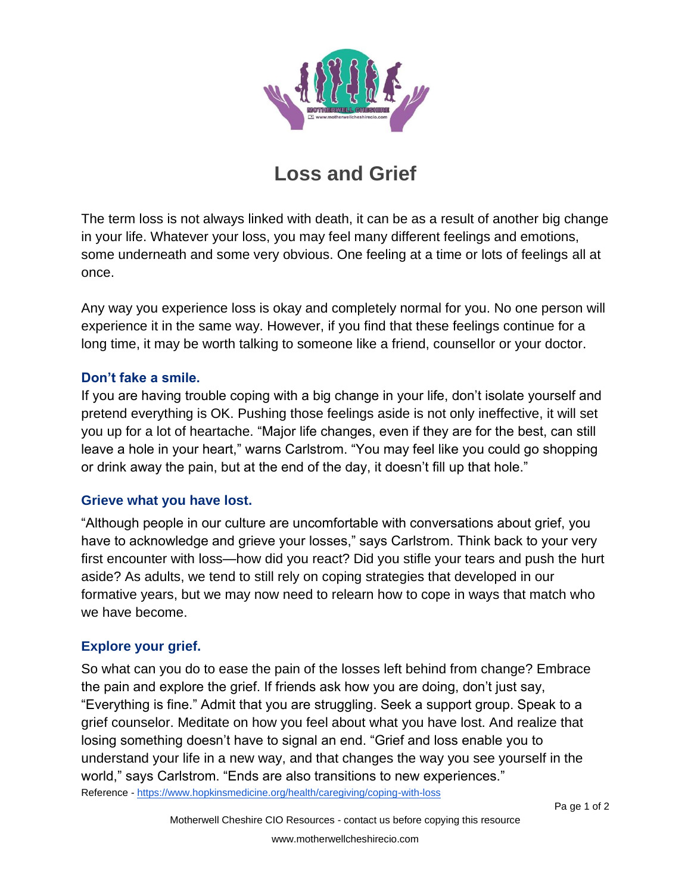

## **Loss and Grief**

The term loss is not always linked with death, it can be as a result of another big change in your life. Whatever your loss, you may feel many different feelings and emotions, some underneath and some very obvious. One feeling at a time or lots of feelings all at once.

Any way you experience loss is okay and completely normal for you. No one person will experience it in the same way. However, if you find that these feelings continue for a long time, it may be worth talking to someone like a friend, counsellor or your doctor.

## **Don't fake a smile.**

If you are having trouble coping with a big change in your life, don't isolate yourself and pretend everything is OK. Pushing those feelings aside is not only ineffective, it will set you up for a lot of heartache. "Major life changes, even if they are for the best, can still leave a hole in your heart," warns Carlstrom. "You may feel like you could go shopping or drink away the pain, but at the end of the day, it doesn't fill up that hole."

## **Grieve what you have lost.**

"Although people in our culture are uncomfortable with conversations about grief, you have to acknowledge and grieve your losses," says Carlstrom. Think back to your very first encounter with loss—how did you react? Did you stifle your tears and push the hurt aside? As adults, we tend to still rely on coping strategies that developed in our formative years, but we may now need to relearn how to cope in ways that match who we have become.

## **Explore your grief.**

Reference - <https://www.hopkinsmedicine.org/health/caregiving/coping-with-loss> So what can you do to ease the pain of the losses left behind from change? Embrace the pain and explore the grief. If friends ask how you are doing, don't just say, "Everything is fine." Admit that you are struggling. Seek a support group. Speak to a grief counselor. Meditate on how you feel about what you have lost. And realize that losing something doesn't have to signal an end. "Grief and loss enable you to understand your life in a new way, and that changes the way you see yourself in the world," says Carlstrom. "Ends are also transitions to new experiences."